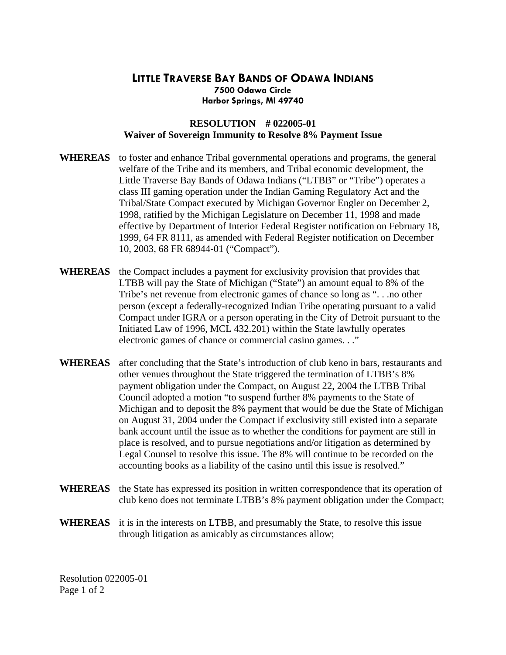## **LITTLE TRAVERSE BAY BANDS OF ODAWA INDIANS 7500 Odawa Circle Harbor Springs, MI 49740**

## **RESOLUTION # 022005-01 Waiver of Sovereign Immunity to Resolve 8% Payment Issue**

- **WHEREAS** to foster and enhance Tribal governmental operations and programs, the general welfare of the Tribe and its members, and Tribal economic development, the Little Traverse Bay Bands of Odawa Indians ("LTBB" or "Tribe") operates a class III gaming operation under the Indian Gaming Regulatory Act and the Tribal/State Compact executed by Michigan Governor Engler on December 2, 1998, ratified by the Michigan Legislature on December 11, 1998 and made effective by Department of Interior Federal Register notification on February 18, 1999, 64 FR 8111, as amended with Federal Register notification on December 10, 2003, 68 FR 68944-01 ("Compact").
- **WHEREAS** the Compact includes a payment for exclusivity provision that provides that LTBB will pay the State of Michigan ("State") an amount equal to 8% of the Tribe's net revenue from electronic games of chance so long as ". . .no other person (except a federally-recognized Indian Tribe operating pursuant to a valid Compact under IGRA or a person operating in the City of Detroit pursuant to the Initiated Law of 1996, MCL 432.201) within the State lawfully operates electronic games of chance or commercial casino games. . ."
- **WHEREAS** after concluding that the State's introduction of club keno in bars, restaurants and other venues throughout the State triggered the termination of LTBB's 8% payment obligation under the Compact, on August 22, 2004 the LTBB Tribal Council adopted a motion "to suspend further 8% payments to the State of Michigan and to deposit the 8% payment that would be due the State of Michigan on August 31, 2004 under the Compact if exclusivity still existed into a separate bank account until the issue as to whether the conditions for payment are still in place is resolved, and to pursue negotiations and/or litigation as determined by Legal Counsel to resolve this issue. The 8% will continue to be recorded on the accounting books as a liability of the casino until this issue is resolved."
- WHEREAS the State has expressed its position in written correspondence that its operation of club keno does not terminate LTBB's 8% payment obligation under the Compact;
- **WHEREAS** it is in the interests on LTBB, and presumably the State, to resolve this issue through litigation as amicably as circumstances allow;

Resolution 022005-01 Page 1 of 2